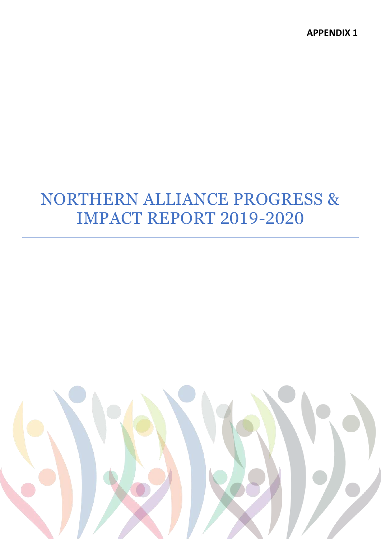# NORTHERN ALLIANCE PROGRESS & IMPACT REPORT 2019-2020

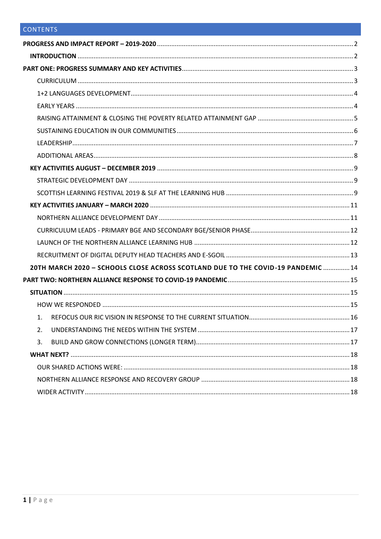| 20TH MARCH 2020 - SCHOOLS CLOSE ACROSS SCOTLAND DUE TO THE COVID-19 PANDEMIC  14 |  |
|----------------------------------------------------------------------------------|--|
|                                                                                  |  |
|                                                                                  |  |
|                                                                                  |  |
| $\mathbf{1}$ .                                                                   |  |
| 2.                                                                               |  |
| 3.                                                                               |  |
|                                                                                  |  |
|                                                                                  |  |
|                                                                                  |  |
|                                                                                  |  |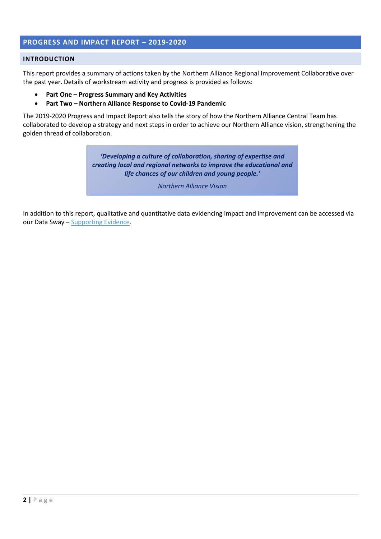# <span id="page-2-0"></span>**PROGRESS AND IMPACT REPORT – 2019-2020**

#### <span id="page-2-1"></span>**INTRODUCTION**

This report provides a summary of actions taken by the Northern Alliance Regional Improvement Collaborative over the past year. Details of workstream activity and progress is provided as follows:

- **Part One – Progress Summary and Key Activities**
- **Part Two – Northern Alliance Response to Covid-19 Pandemic**

The 2019-2020 Progress and Impact Report also tells the story of how the Northern Alliance Central Team has collaborated to develop a strategy and next steps in order to achieve our Northern Alliance vision, strengthening the golden thread of collaboration.

> *'Developing a culture of collaboration, sharing of expertise and creating local and regional networks to improve the educational and life chances of our children and young people.'*

> > *Northern Alliance Vision*

In addition to this report, qualitative and quantitative data evidencing impact and improvement can be accessed via our Data Sway – [Supporting Evidence.](https://sway.office.com/GRie6QTFCUTgwNCc?ref=Link)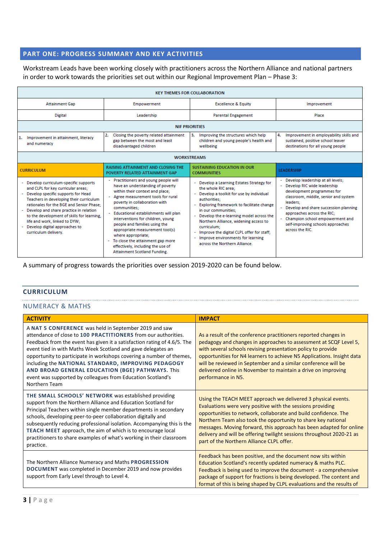# <span id="page-3-0"></span>**PART ONE: PROGRESS SUMMARY AND KEY ACTIVITIES**

Workstream Leads have been working closely with practitioners across the Northern Alliance and national partners in order to work towards the priorities set out within our Regional Improvement Plan – Phase 3:

| <b>KEY THEMES FOR COLLABORATION</b>                                                                                                                                                                                                                                                                                                                                                               |                                                                                                                                                                                                                                                                                                                                                                                                                                                                                    |                                                                                                                                                                                                                                                                                                                                                                                                                    |                                                                                                                                                                                                                                                                                                                      |
|---------------------------------------------------------------------------------------------------------------------------------------------------------------------------------------------------------------------------------------------------------------------------------------------------------------------------------------------------------------------------------------------------|------------------------------------------------------------------------------------------------------------------------------------------------------------------------------------------------------------------------------------------------------------------------------------------------------------------------------------------------------------------------------------------------------------------------------------------------------------------------------------|--------------------------------------------------------------------------------------------------------------------------------------------------------------------------------------------------------------------------------------------------------------------------------------------------------------------------------------------------------------------------------------------------------------------|----------------------------------------------------------------------------------------------------------------------------------------------------------------------------------------------------------------------------------------------------------------------------------------------------------------------|
| <b>Attainment Gap</b>                                                                                                                                                                                                                                                                                                                                                                             | Empowerment                                                                                                                                                                                                                                                                                                                                                                                                                                                                        | <b>Excellence &amp; Equity</b>                                                                                                                                                                                                                                                                                                                                                                                     | Improvement                                                                                                                                                                                                                                                                                                          |
| <b>Digital</b>                                                                                                                                                                                                                                                                                                                                                                                    | Leadership                                                                                                                                                                                                                                                                                                                                                                                                                                                                         | <b>Parental Engagement</b>                                                                                                                                                                                                                                                                                                                                                                                         | Place                                                                                                                                                                                                                                                                                                                |
|                                                                                                                                                                                                                                                                                                                                                                                                   | <b>NIF PRIORITIES</b>                                                                                                                                                                                                                                                                                                                                                                                                                                                              |                                                                                                                                                                                                                                                                                                                                                                                                                    |                                                                                                                                                                                                                                                                                                                      |
| Improvement in attainment, literacy<br>and numeracy                                                                                                                                                                                                                                                                                                                                               | Closing the poverty related attainment<br>2.<br>gap between the most and least<br>disadvantaged children                                                                                                                                                                                                                                                                                                                                                                           | Improving the structures which help<br>3.<br>children and young people's health and<br>wellbeing                                                                                                                                                                                                                                                                                                                   | 4.<br>Improvement in employability skills and<br>sustained, positive school leaver<br>destinations for all young people                                                                                                                                                                                              |
| <b>WORKSTREAMS</b>                                                                                                                                                                                                                                                                                                                                                                                |                                                                                                                                                                                                                                                                                                                                                                                                                                                                                    |                                                                                                                                                                                                                                                                                                                                                                                                                    |                                                                                                                                                                                                                                                                                                                      |
| <b>CURRICULUM</b>                                                                                                                                                                                                                                                                                                                                                                                 | <b>RAISING ATTAINMENT AND CLOSING THE</b><br>POVERTY RELATED ATTAINMENT GAP                                                                                                                                                                                                                                                                                                                                                                                                        | <b>SUSTAINING EDUCATION IN OUR</b><br><b>COMMUNITIES</b>                                                                                                                                                                                                                                                                                                                                                           | <b>LEADERSHIP</b>                                                                                                                                                                                                                                                                                                    |
| - Develop curriculum-specific supports<br>and CLPL for key curricular areas;<br>- Develop specific supports for Head<br>Teachers in developing their curriculum<br>rationales for the BGE and Senior Phase;<br>- Develop and share practice in relation<br>to the development of skills for learning.<br>life and work, linked to DYW;<br>- Develop digital approaches to<br>curriculum delivery. | - Practitioners and young people will<br>have an understanding of poverty<br>within their context and place;<br>Agree measurement tools for rural<br>poverty in collaboration with<br>communities:<br>Educational establishments will plan<br>interventions for children, young<br>people and families using the<br>appropriate measurement tool(s)<br>where appropriate;<br>To close the attainment gap more<br>effectively, including the use of<br>Attainment Scotland Funding. | Develop a Learning Estates Strategy for<br>the whole RIC area:<br>Develop a toolkit for use by individual<br>authorities:<br>Exploring framework to facilitate change<br>in our communities:<br>Develop the e-learning model across the<br>Northern Alliance, widening access to<br>curriculum;<br>Improve the digital CLPL offer for staff;<br>Improve environments for learning<br>across the Northern Alliance. | Develop leadership at all levels;<br>Develop RIC wide leadership<br>development programmes for<br>classroom, middle, senior and system<br>leaders:<br>Develop and share succession planning<br>approaches across the RIC:<br>Champion school empowerment and<br>self-improving schools approaches<br>across the RIC. |

A summary of progress towards the priorities over session 2019-2020 can be found below.

#### <span id="page-3-1"></span>**CURRICULUM**

#### NUMERACY & MATHS

| <b>ACTIVITY</b>                                                                                                                                                                                                                                                                                                                                                                                                                                                                                                                        | <b>IMPACT</b>                                                                                                                                                                                                                                                                                                                                                                                                                                                |
|----------------------------------------------------------------------------------------------------------------------------------------------------------------------------------------------------------------------------------------------------------------------------------------------------------------------------------------------------------------------------------------------------------------------------------------------------------------------------------------------------------------------------------------|--------------------------------------------------------------------------------------------------------------------------------------------------------------------------------------------------------------------------------------------------------------------------------------------------------------------------------------------------------------------------------------------------------------------------------------------------------------|
| A NAT 5 CONFERENCE was held in September 2019 and saw<br>attendance of close to 100 PRACTITIONERS from our authorities.<br>Feedback from the event has given it a satisfaction rating of 4.6/5. The<br>event tied in with Maths Week Scotland and gave delegates an<br>opportunity to participate in workshops covering a number of themes,<br>including the NATIONAL STANDARD, IMPROVING PEDAGOGY<br>AND BROAD GENERAL EDUCATION (BGE) PATHWAYS. This<br>event was supported by colleagues from Education Scotland's<br>Northern Team | As a result of the conference practitioners reported changes in<br>pedagogy and changes in approaches to assessment at SCQF Level 5,<br>with several schools revising presentation policy to provide<br>opportunities for N4 learners to achieve N5 Applications. Insight data<br>will be reviewed in September and a similar conference will be<br>delivered online in November to maintain a drive on improving<br>performance in N5.                      |
| THE SMALL SCHOOLS' NETWORK was established providing<br>support from the Northern Alliance and Education Scotland for<br>Principal Teachers within single member departments in secondary<br>schools, developing peer-to-peer collaboration digitally and<br>subsequently reducing professional isolation. Accompanying this is the<br>TEACH MEET approach, the aim of which is to encourage local<br>practitioners to share examples of what's working in their classroom<br>practice.                                                | Using the TEACH MEET approach we delivered 3 physical events.<br>Evaluations were very positive with the sessions providing<br>opportunities to network, collaborate and build confidence. The<br>Northern Team also took the opportunity to share key national<br>messages. Moving forward, this approach has been adapted for online<br>delivery and will be offering twilight sessions throughout 2020-21 as<br>part of the Northern Alliance CLPL offer. |
| The Northern Alliance Numeracy and Maths PROGRESSION<br>DOCUMENT was completed in December 2019 and now provides<br>support from Early Level through to Level 4.                                                                                                                                                                                                                                                                                                                                                                       | Feedback has been positive, and the document now sits within<br>Education Scotland's recently updated numeracy & maths PLC.<br>Feedback is being used to improve the document - a comprehensive<br>package of support for fractions is being developed. The content and<br>format of this is being shaped by CLPL evaluations and the results of                                                                                                             |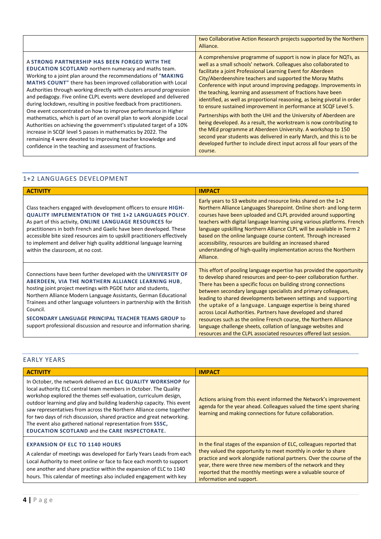|                                                                                                                                                                                                                                                                                                                                                                                                                                                                                                                                                                                                                                                                                                                                                                                                                                                                            | two Collaborative Action Research projects supported by the Northern<br>Alliance.                                                                                                                                                                                                                                                                                                                                                                                                                                                                                                                                                                                                                                                                                                                                                                                                                                             |
|----------------------------------------------------------------------------------------------------------------------------------------------------------------------------------------------------------------------------------------------------------------------------------------------------------------------------------------------------------------------------------------------------------------------------------------------------------------------------------------------------------------------------------------------------------------------------------------------------------------------------------------------------------------------------------------------------------------------------------------------------------------------------------------------------------------------------------------------------------------------------|-------------------------------------------------------------------------------------------------------------------------------------------------------------------------------------------------------------------------------------------------------------------------------------------------------------------------------------------------------------------------------------------------------------------------------------------------------------------------------------------------------------------------------------------------------------------------------------------------------------------------------------------------------------------------------------------------------------------------------------------------------------------------------------------------------------------------------------------------------------------------------------------------------------------------------|
| A STRONG PARTNERSHIP HAS BEEN FORGED WITH THE<br>EDUCATION SCOTLAND northern numeracy and maths team.<br>Working to a joint plan around the recommendations of "MAKING"<br>MATHS COUNT" there has been improved collaboration with Local<br>Authorities through working directly with clusters around progression<br>and pedagogy. Five online CLPL events were developed and delivered<br>during lockdown, resulting in positive feedback from practitioners.<br>One event concentrated on how to improve performance in Higher<br>mathematics, which is part of an overall plan to work alongside Local<br>Authorities on achieving the government's stipulated target of a 10%<br>increase in SCQF level 5 passes in mathematics by 2022. The<br>remaining 4 were devoted to improving teacher knowledge and<br>confidence in the teaching and assessment of fractions. | A comprehensive programme of support is now in place for NQTs, as<br>well as a small schools' network. Colleagues also collaborated to<br>facilitate a joint Professional Learning Event for Aberdeen<br>City/Aberdeenshire teachers and supported the Moray Maths<br>Conference with input around improving pedagogy. Improvements in<br>the teaching, learning and assessment of fractions have been<br>identified, as well as proportional reasoning, as being pivotal in order<br>to ensure sustained improvement in performance at SCQF Level 5.<br>Partnerships with both the UHI and the University of Aberdeen are<br>being developed. As a result, the workstream is now contributing to<br>the MEd programme at Aberdeen University. A workshop to 150<br>second year students was delivered in early March, and this is to be<br>developed further to include direct input across all four years of the<br>course. |

# <span id="page-4-0"></span>1+2 LANGUAGES DEVELOPMENT

| <b>ACTIVITY</b>                                                                                                                                                                                                                                                                                                                                                                                                                                                                      | <b>IMPACT</b>                                                                                                                                                                                                                                                                                                                                                                                                                                                                                                                                                                                                                                                                                  |
|--------------------------------------------------------------------------------------------------------------------------------------------------------------------------------------------------------------------------------------------------------------------------------------------------------------------------------------------------------------------------------------------------------------------------------------------------------------------------------------|------------------------------------------------------------------------------------------------------------------------------------------------------------------------------------------------------------------------------------------------------------------------------------------------------------------------------------------------------------------------------------------------------------------------------------------------------------------------------------------------------------------------------------------------------------------------------------------------------------------------------------------------------------------------------------------------|
| Class teachers engaged with development officers to ensure HIGH-<br><b>QUALITY IMPLEMENTATION OF THE 1+2 LANGUAGES POLICY.</b><br>As part of this activity, ONLINE LANGUAGE RESOURCES for<br>practitioners in both French and Gaelic have been developed. These<br>accessible bite sized resources aim to upskill practitioners effectively<br>to implement and deliver high quality additional language learning<br>within the classroom, at no cost.                               | Early years to S3 website and resource links shared on the $1+2$<br>Northern Alliance Languages Sharepoint. Online short- and long-term<br>courses have been uploaded and CLPL provided around supporting<br>teachers with digital language learning using various platforms. French<br>language upskilling Northern Alliance CLPL will be available in Term 2<br>based on the online language course content. Through increased<br>accessibility, resources are building an increased shared<br>understanding of high-quality implementation across the Northern<br>Alliance.                                                                                                                 |
| Connections have been further developed with the UNIVERSITY OF<br>ABERDEEN, VIA THE NORTHERN ALLIANCE LEARNING HUB,<br>hosting joint project meetings with PGDE tutor and students,<br>Northern Alliance Modern Language Assistants, German Educational<br>Trainees and other language volunteers in partnership with the British<br>Council.<br><b>SECONDARY LANGUAGE PRINCIPAL TEACHER TEAMS GROUP to</b><br>support professional discussion and resource and information sharing. | This effort of pooling language expertise has provided the opportunity<br>to develop shared resources and peer-to-peer collaboration further.<br>There has been a specific focus on building strong connections<br>between secondary language specialists and primary colleagues,<br>leading to shared developments between settings and supporting<br>the uptake of a language. Language expertise is being shared<br>across Local Authorities. Partners have developed and shared<br>resources such as the online French course, the Northern Alliance<br>language challenge sheets, collation of language websites and<br>resources and the CLPL associated resources offered last session. |

# <span id="page-4-1"></span>EARLY YEARS

| <b>ACTIVITY</b>                                                                                                                                                                                                                                                                                                                                                                                                                                                                                                                                        | <b>IMPACT</b>                                                                                                                                                                                                                                                                                                                                                             |
|--------------------------------------------------------------------------------------------------------------------------------------------------------------------------------------------------------------------------------------------------------------------------------------------------------------------------------------------------------------------------------------------------------------------------------------------------------------------------------------------------------------------------------------------------------|---------------------------------------------------------------------------------------------------------------------------------------------------------------------------------------------------------------------------------------------------------------------------------------------------------------------------------------------------------------------------|
| In October, the network delivered an ELC QUALITY WORKSHOP for<br>local authority ELC central team members in October. The Quality<br>workshop explored the themes self-evaluation, curriculum design,<br>outdoor learning and play and building leadership capacity. This event<br>saw representatives from across the Northern Alliance come together<br>for two days of rich discussion, shared practice and great networking.<br>The event also gathered national representation from SSSC,<br><b>EDUCATION SCOTLAND and the CARE INSPECTORATE.</b> | Actions arising from this event informed the Network's improvement<br>agenda for the year ahead. Colleagues valued the time spent sharing<br>learning and making connections for future collaboration.                                                                                                                                                                    |
| <b>EXPANSION OF ELC TO 1140 HOURS</b><br>A calendar of meetings was developed for Early Years Leads from each<br>Local Authority to meet online or face to face each month to support<br>one another and share practice within the expansion of ELC to 1140<br>hours. This calendar of meetings also included engagement with key                                                                                                                                                                                                                      | In the final stages of the expansion of ELC, colleagues reported that<br>they valued the opportunity to meet monthly in order to share<br>practice and work alongside national partners. Over the course of the<br>year, there were three new members of the network and they<br>reported that the monthly meetings were a valuable source of<br>information and support. |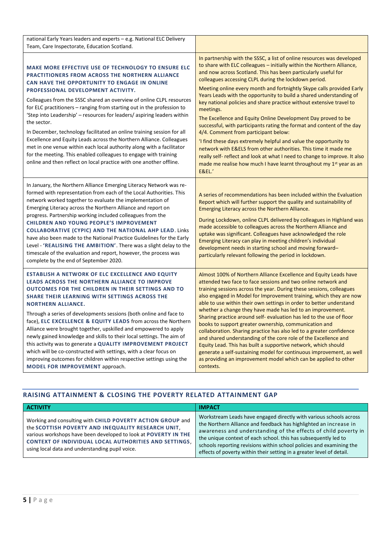| national Early Years leaders and experts - e.g. National ELC Delivery<br>Team, Care Inspectorate, Education Scotland.                                                                                                                                                                                                                                                                                                                                                                                                                                                                                                                                                                                                                                                                                                        |                                                                                                                                                                                                                                                                                                                                                                                                                                                                                                                                                                                                                                                                                                                                                                                                                                                                                                                                                                                                                                   |
|------------------------------------------------------------------------------------------------------------------------------------------------------------------------------------------------------------------------------------------------------------------------------------------------------------------------------------------------------------------------------------------------------------------------------------------------------------------------------------------------------------------------------------------------------------------------------------------------------------------------------------------------------------------------------------------------------------------------------------------------------------------------------------------------------------------------------|-----------------------------------------------------------------------------------------------------------------------------------------------------------------------------------------------------------------------------------------------------------------------------------------------------------------------------------------------------------------------------------------------------------------------------------------------------------------------------------------------------------------------------------------------------------------------------------------------------------------------------------------------------------------------------------------------------------------------------------------------------------------------------------------------------------------------------------------------------------------------------------------------------------------------------------------------------------------------------------------------------------------------------------|
| <b>MAKE MORE EFFECTIVE USE OF TECHNOLOGY TO ENSURE ELC</b><br><b>PRACTITIONERS FROM ACROSS THE NORTHERN ALLIANCE</b><br>CAN HAVE THE OPPORTUNITY TO ENGAGE IN ONLINE<br>PROFESSIONAL DEVELOPMENT ACTIVITY.<br>Colleagues from the SSSC shared an overview of online CLPL resources<br>for ELC practitioners - ranging from starting out in the profession to<br>'Step into Leadership' - resources for leaders/ aspiring leaders within<br>the sector.<br>In December, technology facilitated an online training session for all<br>Excellence and Equity Leads across the Northern Alliance. Colleagues<br>met in one venue within each local authority along with a facilitator<br>for the meeting. This enabled colleagues to engage with training<br>online and then reflect on local practice with one another offline. | In partnership with the SSSC, a list of online resources was developed<br>to share with ELC colleagues - initially within the Northern Alliance,<br>and now across Scotland. This has been particularly useful for<br>colleagues accessing CLPL during the lockdown period.<br>Meeting online every month and fortnightly Skype calls provided Early<br>Years Leads with the opportunity to build a shared understanding of<br>key national policies and share practice without extensive travel to<br>meetings.<br>The Excellence and Equity Online Development Day proved to be<br>successful, with participants rating the format and content of the day<br>4/4. Comment from participant below:<br>'I find these days extremely helpful and value the opportunity to<br>network with E&ELS from other authorities. This time it made me<br>really self- reflect and look at what I need to change to improve. It also<br>made me realise how much I have learnt throughout my 1 <sup>st</sup> year as an<br><b>E&amp;EL.'</b> |
| In January, the Northern Alliance Emerging Literacy Network was re-<br>formed with representation from each of the Local Authorities. This<br>network worked together to evaluate the implementation of<br>Emerging Literacy across the Northern Alliance and report on<br>progress. Partnership working included colleagues from the<br><b>CHILDREN AND YOUNG PEOPLE'S IMPROVEMENT</b><br><b>COLLABORATIVE (CYPIC) AND THE NATIONAL AHP LEAD. Links</b><br>have also been made to the National Practice Guidelines for the Early<br>Level - 'REALISING THE AMBITION'. There was a slight delay to the<br>timescale of the evaluation and report, however, the process was<br>complete by the end of September 2020.                                                                                                         | A series of recommendations has been included within the Evaluation<br>Report which will further support the quality and sustainability of<br>Emerging Literacy across the Northern Alliance.<br>During Lockdown, online CLPL delivered by colleagues in Highland was<br>made accessible to colleagues across the Northern Alliance and<br>uptake was significant. Colleagues have acknowledged the role<br>Emerging Literacy can play in meeting children's individual<br>development needs in starting school and moving forward-<br>particularly relevant following the period in lockdown.                                                                                                                                                                                                                                                                                                                                                                                                                                    |
| ESTABLISH A NETWORK OF ELC EXCELLENCE AND EQUITY<br>LEADS ACROSS THE NORTHERN ALLIANCE TO IMPROVE<br><b>OUTCOMES FOR THE CHILDREN IN THEIR SETTINGS AND TO</b><br>SHARE THEIR LEARNING WITH SETTINGS ACROSS THE<br><b>NORTHERN ALLIANCE.</b><br>Through a series of developments sessions (both online and face to<br>face), ELC EXCELLENCE & EQUITY LEADS from across the Northern<br>Alliance were brought together, upskilled and empowered to apply<br>newly gained knowledge and skills to their local settings. The aim of<br>this activity was to generate a QUALITY IMPROVEMENT PROJECT<br>which will be co-constructed with settings, with a clear focus on<br>improving outcomes for children within respective settings using the<br>MODEL FOR IMPROVEMENT approach.                                              | Almost 100% of Northern Alliance Excellence and Equity Leads have<br>attended two face to face sessions and two online network and<br>training sessions across the year. During these sessions, colleagues<br>also engaged in Model for Improvement training, which they are now<br>able to use within their own settings in order to better understand<br>whether a change they have made has led to an improvement.<br>Sharing practice around self- evaluation has led to the use of floor<br>books to support greater ownership, communication and<br>collaboration. Sharing practice has also led to a greater confidence<br>and shared understanding of the core role of the Excellence and<br>Equity Lead. This has built a supportive network, which should<br>generate a self-sustaining model for continuous improvement, as well<br>as providing an improvement model which can be applied to other<br>contexts.                                                                                                       |

# <span id="page-5-0"></span>**RAISING ATTAINMENT & CLOSING THE POVERTY RELATED ATTAINMENT GAP**

| <b>ACTIVITY</b>                                                                                                                                                                                                                                                                                 | <b>IMPACT</b>                                                                                                                                                                                                                                                                                                                                                                                                                 |
|-------------------------------------------------------------------------------------------------------------------------------------------------------------------------------------------------------------------------------------------------------------------------------------------------|-------------------------------------------------------------------------------------------------------------------------------------------------------------------------------------------------------------------------------------------------------------------------------------------------------------------------------------------------------------------------------------------------------------------------------|
| Working and consulting with CHILD POVERTY ACTION GROUP and<br>the SCOTTISH POVERTY AND INEQUALITY RESEARCH UNIT,<br>various workshops have been developed to look at POVERTY IN THE<br>CONTEXT OF INDIVIDUAL LOCAL AUTHORITIES AND SETTINGS.<br>using local data and understanding pupil voice. | Workstream Leads have engaged directly with various schools across<br>the Northern Alliance and feedback has highlighted an increase in<br>awareness and understanding of the effects of child poverty in<br>the unique context of each school. this has subsequently led to<br>schools reporting revisions within school policies and examining the<br>effects of poverty within their setting in a greater level of detail. |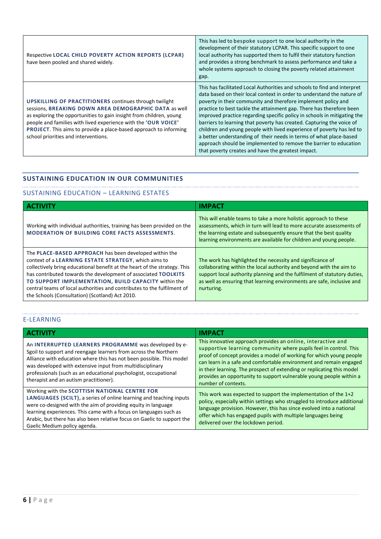| Respective LOCAL CHILD POVERTY ACTION REPORTS (LCPAR)<br>have been pooled and shared widely.                                                                                                                                                                                                                                                                                        | This has led to bespoke support to one local authority in the<br>development of their statutory LCPAR. This specific support to one<br>local authority has supported them to fulfil their statutory function<br>and provides a strong benchmark to assess performance and take a<br>whole systems approach to closing the poverty related attainment<br>gap.                                                                                                                                                                                                                                                                                                                                                               |
|-------------------------------------------------------------------------------------------------------------------------------------------------------------------------------------------------------------------------------------------------------------------------------------------------------------------------------------------------------------------------------------|----------------------------------------------------------------------------------------------------------------------------------------------------------------------------------------------------------------------------------------------------------------------------------------------------------------------------------------------------------------------------------------------------------------------------------------------------------------------------------------------------------------------------------------------------------------------------------------------------------------------------------------------------------------------------------------------------------------------------|
| <b>UPSKILLING OF PRACTITIONERS continues through twilight</b><br>sessions, BREAKING DOWN AREA DEMOGRAPHIC DATA as well<br>as exploring the opportunities to gain insight from children, young<br>people and families with lived experience with the 'OUR VOICE'<br><b>PROJECT.</b> This aims to provide a place-based approach to informing<br>school priorities and interventions. | This has facilitated Local Authorities and schools to find and interpret<br>data based on their local context in order to understand the nature of<br>poverty in their community and therefore implement policy and<br>practice to best tackle the attainment gap. There has therefore been<br>improved practice regarding specific policy in schools in mitigating the<br>barriers to learning that poverty has created. Capturing the voice of<br>children and young people with lived experience of poverty has led to<br>a better understanding of their needs in terms of what place-based<br>approach should be implemented to remove the barrier to education<br>that poverty creates and have the greatest impact. |

# <span id="page-6-0"></span>**SUSTAINING EDUCATION IN OUR COMMUNITIES**

# SUSTAINING EDUCATION – LEARNING ESTATES

|                                                                                                                                                                                                                                                                                                                                                                                                                                                     | <b>IMPACT</b>                                                                                                                                                                                                                                                                                         |
|-----------------------------------------------------------------------------------------------------------------------------------------------------------------------------------------------------------------------------------------------------------------------------------------------------------------------------------------------------------------------------------------------------------------------------------------------------|-------------------------------------------------------------------------------------------------------------------------------------------------------------------------------------------------------------------------------------------------------------------------------------------------------|
| Working with individual authorities, training has been provided on the<br><b>MODERATION OF BUILDING CORE FACTS ASSESSMENTS.</b>                                                                                                                                                                                                                                                                                                                     | This will enable teams to take a more holistic approach to these<br>assessments, which in turn will lead to more accurate assessments of<br>the learning estate and subsequently ensure that the best quality<br>learning environments are available for children and young people.                   |
| The PLACE-BASED APPROACH has been developed within the<br>context of a LEARNING ESTATE STRATEGY, which aims to<br>collectively bring educational benefit at the heart of the strategy. This<br>has contributed towards the development of associated TOOLKITS<br>TO SUPPORT IMPLEMENTATION, BUILD CAPACITY within the<br>central teams of local authorities and contributes to the fulfilment of<br>the Schools (Consultation) (Scotland) Act 2010. | The work has highlighted the necessity and significance of<br>collaborating within the local authority and beyond with the aim to<br>support local authority planning and the fulfilment of statutory duties,<br>as well as ensuring that learning environments are safe, inclusive and<br>nurturing. |

# E-LEARNING

| <b>ACTIVITY</b>                                                                                                                                                                                                                                                                                                                                                             | <b>IMPACT</b>                                                                                                                                                                                                                                                                                                                                                                                                                                         |
|-----------------------------------------------------------------------------------------------------------------------------------------------------------------------------------------------------------------------------------------------------------------------------------------------------------------------------------------------------------------------------|-------------------------------------------------------------------------------------------------------------------------------------------------------------------------------------------------------------------------------------------------------------------------------------------------------------------------------------------------------------------------------------------------------------------------------------------------------|
| An INTERRUPTED LEARNERS PROGRAMME was developed by e-<br>Sgoil to support and reengage learners from across the Northern<br>Alliance with education where this has not been possible. This model<br>was developed with extensive input from multidisciplinary<br>professionals (such as an educational psychologist, occupational<br>therapist and an autism practitioner). | This innovative approach provides an online, interactive and<br>supportive learning community where pupils feel in control. This<br>proof of concept provides a model of working for which young people<br>can learn in a safe and comfortable environment and remain engaged<br>in their learning. The prospect of extending or replicating this model<br>provides an opportunity to support vulnerable young people within a<br>number of contexts. |
| Working with the SCOTTISH NATIONAL CENTRE FOR<br>LANGUAGES (SCILT), a series of online learning and teaching inputs<br>were co-designed with the aim of providing equity in language<br>learning experiences. This came with a focus on languages such as<br>Arabic, but there has also been relative focus on Gaelic to support the<br>Gaelic Medium policy agenda.        | This work was expected to support the implementation of the $1+2$<br>policy, especially within settings who struggled to introduce additional<br>language provision. However, this has since evolved into a national<br>offer which has engaged pupils with multiple languages being<br>delivered over the lockdown period.                                                                                                                           |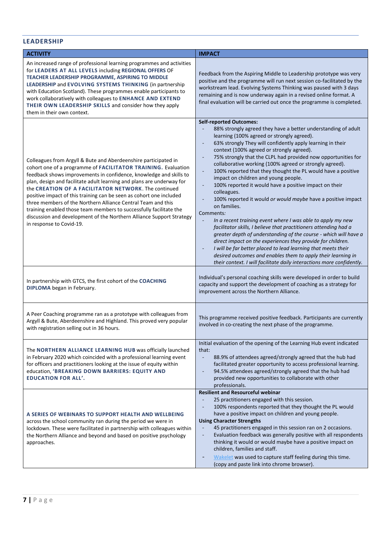# <span id="page-7-0"></span>**LEADERSHIP**

| <b>ACTIVITY</b>                                                                                                                                                                                                                                                                                                                                                                                                                                                                                                                                                                                                                                          | <b>IMPACT</b>                                                                                                                                                                                                                                                                                                                                                                                                                                                                                                                                                                                                                                                                                                                                                                                                                                                                                                                                                                                                                                                                                                                                      |
|----------------------------------------------------------------------------------------------------------------------------------------------------------------------------------------------------------------------------------------------------------------------------------------------------------------------------------------------------------------------------------------------------------------------------------------------------------------------------------------------------------------------------------------------------------------------------------------------------------------------------------------------------------|----------------------------------------------------------------------------------------------------------------------------------------------------------------------------------------------------------------------------------------------------------------------------------------------------------------------------------------------------------------------------------------------------------------------------------------------------------------------------------------------------------------------------------------------------------------------------------------------------------------------------------------------------------------------------------------------------------------------------------------------------------------------------------------------------------------------------------------------------------------------------------------------------------------------------------------------------------------------------------------------------------------------------------------------------------------------------------------------------------------------------------------------------|
| An increased range of professional learning programmes and activities<br>for LEADERS AT ALL LEVELS including REGIONAL OFFERS OF<br>TEACHER LEADERSHIP PROGRAMME, ASPIRING TO MIDDLE<br>LEADERSHIP and EVOLVING SYSTEMS THINKING (in partnership<br>with Education Scotland). These programmes enable participants to<br>work collaboratively with colleagues to ENHANCE AND EXTEND<br>THEIR OWN LEADERSHIP SKILLS and consider how they apply<br>them in their own context.                                                                                                                                                                              | Feedback from the Aspiring Middle to Leadership prototype was very<br>positive and the programme will run next session co-facilitated by the<br>workstream lead. Evolving Systems Thinking was paused with 3 days<br>remaining and is now underway again in a revised online format. A<br>final evaluation will be carried out once the programme is completed.                                                                                                                                                                                                                                                                                                                                                                                                                                                                                                                                                                                                                                                                                                                                                                                    |
| Colleagues from Argyll & Bute and Aberdeenshire participated in<br>cohort one of a programme of FACILITATOR TRAINING. Evaluation<br>feedback shows improvements in confidence, knowledge and skills to<br>plan, design and facilitate adult learning and plans are underway for<br>the CREATION OF A FACILITATOR NETWORK. The continued<br>positive impact of this training can be seen as cohort one included<br>three members of the Northern Alliance Central Team and this<br>training enabled those team members to successfully facilitate the<br>discussion and development of the Northern Alliance Support Strategy<br>in response to Covid-19. | <b>Self-reported Outcomes:</b><br>88% strongly agreed they have a better understanding of adult<br>learning (100% agreed or strongly agreed).<br>63% strongly They will confidently apply learning in their<br>context (100% agreed or strongly agreed).<br>75% strongly that the CLPL had provided now opportunities for<br>collaborative working (100% agreed or strongly agreed).<br>100% reported that they thought the PL would have a positive<br>impact on children and young people.<br>100% reported it would have a positive impact on their<br>colleagues.<br>100% reported it would or would maybe have a positive impact<br>on families.<br>Comments:<br>In a recent training event where I was able to apply my new<br>facilitator skills, I believe that practitioners attending had a<br>greater depth of understanding of the course - which will have a<br>direct impact on the experiences they provide for children.<br>I will be far better placed to lead learning that meets their<br>desired outcomes and enables them to apply their learning in<br>their context. I will facilitate daily interactions more confidently. |
| In partnership with GTCS, the first cohort of the COACHING<br>DIPLOMA began in February.                                                                                                                                                                                                                                                                                                                                                                                                                                                                                                                                                                 | Individual's personal coaching skills were developed in order to build<br>capacity and support the development of coaching as a strategy for<br>improvement across the Northern Alliance.                                                                                                                                                                                                                                                                                                                                                                                                                                                                                                                                                                                                                                                                                                                                                                                                                                                                                                                                                          |
| A Peer Coaching programme ran as a prototype with colleagues from<br>Argyll & Bute, Aberdeenshire and Highland. This proved very popular<br>with registration selling out in 36 hours.                                                                                                                                                                                                                                                                                                                                                                                                                                                                   | This programme received positive feedback. Participants are currently<br>involved in co-creating the next phase of the programme.                                                                                                                                                                                                                                                                                                                                                                                                                                                                                                                                                                                                                                                                                                                                                                                                                                                                                                                                                                                                                  |
| The NORTHERN ALLIANCE LEARNING HUB was officially launched<br>in February 2020 which coincided with a professional learning event<br>for officers and practitioners looking at the issue of equity within<br>education, 'BREAKING DOWN BARRIERS: EQUITY AND<br><b>EDUCATION FOR ALL'.</b>                                                                                                                                                                                                                                                                                                                                                                | Initial evaluation of the opening of the Learning Hub event indicated<br>that:<br>88.9% of attendees agreed/strongly agreed that the hub had<br>facilitated greater opportunity to access professional learning.<br>94.5% attendees agreed/strongly agreed that the hub had<br>provided new opportunities to collaborate with other<br>professionals.                                                                                                                                                                                                                                                                                                                                                                                                                                                                                                                                                                                                                                                                                                                                                                                              |
| A SERIES OF WEBINARS TO SUPPORT HEALTH AND WELLBEING<br>across the school community ran during the period we were in<br>lockdown. These were facilitated in partnership with colleagues within<br>the Northern Alliance and beyond and based on positive psychology<br>approaches.                                                                                                                                                                                                                                                                                                                                                                       | <b>Resilient and Resourceful webinar</b><br>25 practitioners engaged with this session.<br>100% respondents reported that they thought the PL would<br>have a positive impact on children and young people.<br><b>Using Character Strengths</b><br>45 practitioners engaged in this session ran on 2 occasions.<br>Evaluation feedback was generally positive with all respondents<br>thinking it would or would maybe have a positive impact on<br>children, families and staff.<br>Wakelet was used to capture staff feeling during this time.<br>(copy and paste link into chrome browser).                                                                                                                                                                                                                                                                                                                                                                                                                                                                                                                                                     |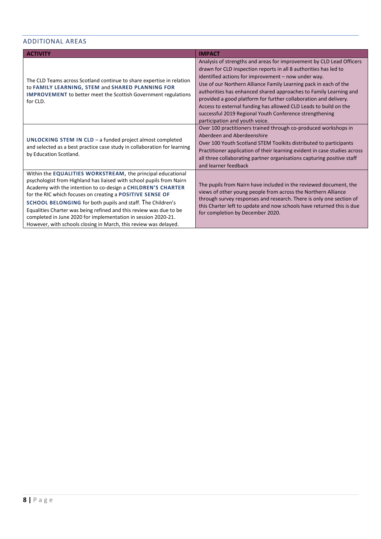#### <span id="page-8-0"></span>ADDITIONAL AREAS

| <b>ACTIVITY</b>                                                                                                                                                                                                                                                                                                                                                                                                                                                                                                                           | <b>IMPACT</b>                                                                                                                                                                                                                                                                                                                                                                                                                                                                                                                                                                 |
|-------------------------------------------------------------------------------------------------------------------------------------------------------------------------------------------------------------------------------------------------------------------------------------------------------------------------------------------------------------------------------------------------------------------------------------------------------------------------------------------------------------------------------------------|-------------------------------------------------------------------------------------------------------------------------------------------------------------------------------------------------------------------------------------------------------------------------------------------------------------------------------------------------------------------------------------------------------------------------------------------------------------------------------------------------------------------------------------------------------------------------------|
| The CLD Teams across Scotland continue to share expertise in relation<br>to FAMILY LEARNING, STEM and SHARED PLANNING FOR<br><b>IMPROVEMENT</b> to better meet the Scottish Government regulations<br>for CLD.                                                                                                                                                                                                                                                                                                                            | Analysis of strengths and areas for improvement by CLD Lead Officers<br>drawn for CLD inspection reports in all 8 authorities has led to<br>identified actions for improvement - now under way.<br>Use of our Northern Alliance Family Learning pack in each of the<br>authorities has enhanced shared approaches to Family Learning and<br>provided a good platform for further collaboration and delivery.<br>Access to external funding has allowed CLD Leads to build on the<br>successful 2019 Regional Youth Conference strengthening<br>participation and youth voice. |
| UNLOCKING STEM IN CLD - a funded project almost completed<br>and selected as a best practice case study in collaboration for learning<br>by Education Scotland.                                                                                                                                                                                                                                                                                                                                                                           | Over 100 practitioners trained through co-produced workshops in<br>Aberdeen and Aberdeenshire<br>Over 100 Youth Scotland STEM Toolkits distributed to participants<br>Practitioner application of their learning evident in case studies across<br>all three collaborating partner organisations capturing positive staff<br>and learner feedback                                                                                                                                                                                                                             |
| Within the EQUALITIES WORKSTREAM, the principal educational<br>psychologist from Highland has liaised with school pupils from Nairn<br>Academy with the intention to co-design a CHILDREN'S CHARTER<br>for the RIC which focuses on creating a POSITIVE SENSE OF<br>SCHOOL BELONGING for both pupils and staff. The Children's<br>Equalities Charter was being refined and this review was due to be<br>completed in June 2020 for implementation in session 2020-21.<br>However, with schools closing in March, this review was delayed. | The pupils from Nairn have included in the reviewed document, the<br>views of other young people from across the Northern Alliance<br>through survey responses and research. There is only one section of<br>this Charter left to update and now schools have returned this is due<br>for completion by December 2020.                                                                                                                                                                                                                                                        |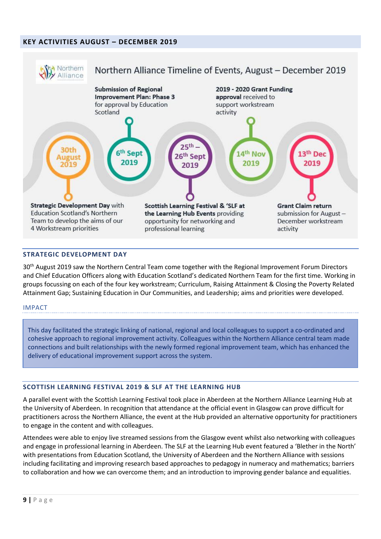# <span id="page-9-0"></span>**KEY ACTIVITIES AUGUST – DECEMBER 2019**



# <span id="page-9-1"></span>**STRATEGIC DEVELOPMENT DAY**

30<sup>th</sup> August 2019 saw the Northern Central Team come together with the Regional Improvement Forum Directors and Chief Education Officers along with Education Scotland's dedicated Northern Team for the first time. Working in groups focussing on each of the four key workstream; Curriculum, Raising Attainment & Closing the Poverty Related Attainment Gap; Sustaining Education in Our Communities, and Leadership; aims and priorities were developed.

#### IMPACT

This day facilitated the strategic linking of national, regional and local colleagues to support a co-ordinated and cohesive approach to regional improvement activity. Colleagues within the Northern Alliance central team made connections and built relationships with the newly formed regional improvement team, which has enhanced the delivery of educational improvement support across the system.

#### <span id="page-9-2"></span>**SCOTTISH LEARNING FESTIVAL 2019 & SLF AT THE LEARNING HUB**

A parallel event with the Scottish Learning Festival took place in Aberdeen at the Northern Alliance Learning Hub at the University of Aberdeen. In recognition that attendance at the official event in Glasgow can prove difficult for practitioners across the Northern Alliance, the event at the Hub provided an alternative opportunity for practitioners to engage in the content and with colleagues.

Attendees were able to enjoy live streamed sessions from the Glasgow event whilst also networking with colleagues and engage in professional learning in Aberdeen. The SLF at the Learning Hub event featured a 'Blether in the North' with presentations from Education Scotland, the University of Aberdeen and the Northern Alliance with sessions including facilitating and improving research based approaches to pedagogy in numeracy and mathematics; barriers to collaboration and how we can overcome them; and an introduction to improving gender balance and equalities.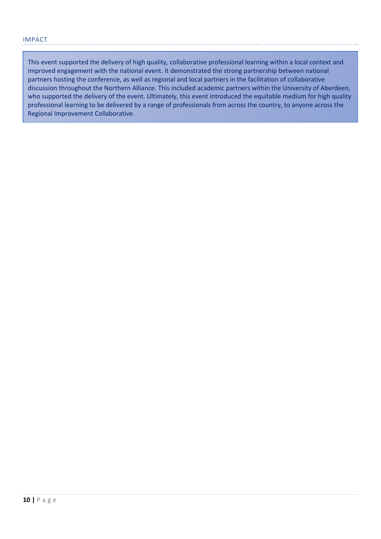This event supported the delivery of high quality, collaborative professional learning within a local context and improved engagement with the national event. It demonstrated the strong partnership between national partners hosting the conference, as well as regional and local partners in the facilitation of collaborative discussion throughout the Northern Alliance. This included academic partners within the University of Aberdeen, who supported the delivery of the event. Ultimately, this event introduced the equitable medium for high quality professional learning to be delivered by a range of professionals from across the country, to anyone across the Regional Improvement Collaborative.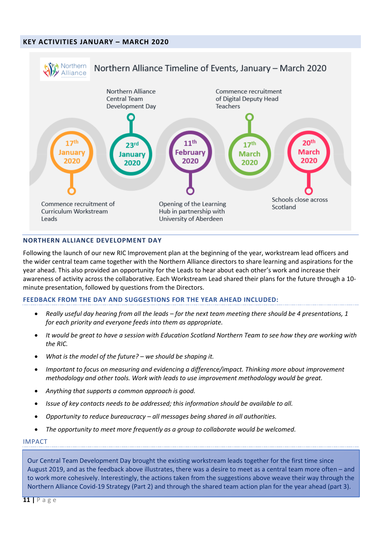# <span id="page-11-0"></span>**KEY ACTIVITIES JANUARY – MARCH 2020**



#### <span id="page-11-1"></span>**NORTHERN ALLIANCE DEVELOPMENT DAY**

Following the launch of our new RIC Improvement plan at the beginning of the year, workstream lead officers and the wider central team came together with the Northern Alliance directors to share learning and aspirations for the year ahead. This also provided an opportunity for the Leads to hear about each other's work and increase their awareness of activity across the collaborative. Each Workstream Lead shared their plans for the future through a 10 minute presentation, followed by questions from the Directors.

#### **FEEDBACK FROM THE DAY AND SUGGESTIONS FOR THE YEAR AHEAD INCLUDED:**

- *Really useful day hearing from all the leads – for the next team meeting there should be 4 presentations, 1 for each priority and everyone feeds into them as appropriate.*
- *It would be great to have a session with Education Scotland Northern Team to see how they are working with the RIC.*
- *What is the model of the future? – we should be shaping it.*
- *Important to focus on measuring and evidencing a difference/impact. Thinking more about improvement methodology and other tools. Work with leads to use improvement methodology would be great.*
- *Anything that supports a common approach is good.*
- *Issue of key contacts needs to be addressed; this information should be available to all.*
- *Opportunity to reduce bureaucracy – all messages being shared in all authorities.*
- *The opportunity to meet more frequently as a group to collaborate would be welcomed.*

#### IMPACT

Our Central Team Development Day brought the existing workstream leads together for the first time since August 2019, and as the feedback above illustrates, there was a desire to meet as a central team more often – and to work more cohesively. Interestingly, the actions taken from the suggestions above weave their way through the Northern Alliance Covid-19 Strategy (Part 2) and through the shared team action plan for the year ahead (part 3).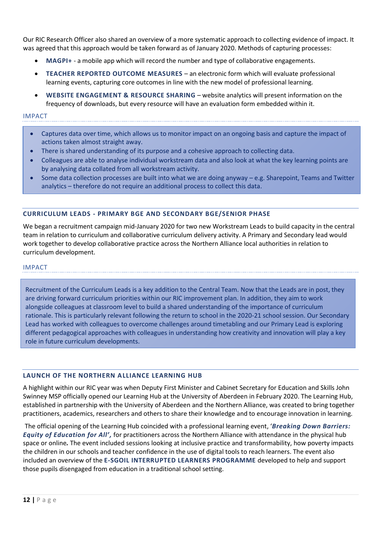Our RIC Research Officer also shared an overview of a more systematic approach to collecting evidence of impact. It was agreed that this approach would be taken forward as of January 2020. Methods of capturing processes:

- **MAGPI+** a mobile app which will record the number and type of collaborative engagements.
- **TEACHER REPORTED OUTCOME MEASURES** an electronic form which will evaluate professional learning events, capturing core outcomes in line with the new model of professional learning.
- **WEBSITE ENGAGEMENT & RESOURCE SHARING** website analytics will present information on the frequency of downloads, but every resource will have an evaluation form embedded within it.

#### IMPACT

- Captures data over time, which allows us to monitor impact on an ongoing basis and capture the impact of actions taken almost straight away.
- There is shared understanding of its purpose and a cohesive approach to collecting data.
- Colleagues are able to analyse individual workstream data and also look at what the key learning points are by analysing data collated from all workstream activity.
- Some data collection processes are built into what we are doing anyway e.g. Sharepoint, Teams and Twitter analytics – therefore do not require an additional process to collect this data.

#### <span id="page-12-0"></span>**CURRICULUM LEADS - PRIMARY BGE AND SECONDARY BGE/SENIOR PHASE**

We began a recruitment campaign mid-January 2020 for two new Workstream Leads to build capacity in the central team in relation to curriculum and collaborative curriculum delivery activity. A Primary and Secondary lead would work together to develop collaborative practice across the Northern Alliance local authorities in relation to curriculum development.

#### IMPACT

Recruitment of the Curriculum Leads is a key addition to the Central Team. Now that the Leads are in post, they are driving forward curriculum priorities within our RIC improvement plan. In addition, they aim to work alongside colleagues at classroom level to build a shared understanding of the importance of curriculum rationale. This is particularly relevant following the return to school in the 2020-21 school session. Our Secondary Lead has worked with colleagues to overcome challenges around timetabling and our Primary Lead is exploring different pedagogical approaches with colleagues in understanding how creativity and innovation will play a key role in future curriculum developments.

#### <span id="page-12-1"></span>**LAUNCH OF THE NORTHERN ALLIANCE LEARNING HUB**

A highlight within our RIC year was when Deputy First Minister and Cabinet Secretary for Education and Skills John Swinney MSP officially opened our Learning Hub at the University of Aberdeen in February 2020. The Learning Hub, established in partnership with the University of Aberdeen and the Northern Alliance, was created to bring together practitioners, academics, researchers and others to share their knowledge and to encourage innovation in learning.

The official opening of the Learning Hub coincided with a professional learning event, '*Breaking Down Barriers: Equity of Education for All',* for practitioners across the Northern Alliance with attendance in the physical hub space or online*.* The event included sessions looking at inclusive practice and transformability, how poverty impacts the children in our schools and teacher confidence in the use of digital tools to reach learners. The event also included an overview of the **E-SGOIL INTERRUPTED LEARNERS PROGRAMME** developed to help and support those pupils disengaged from education in a traditional school setting.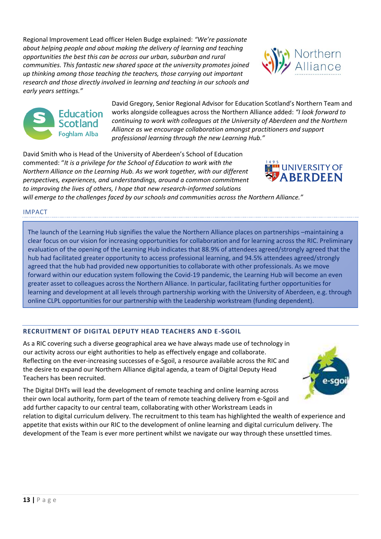Regional Improvement Lead officer Helen Budge explained: *"We're passionate about helping people and about making the delivery of learning and teaching opportunities the best this can be across our urban, suburban and rural communities. This fantastic new shared space at the university promotes joined up thinking among those teaching the teachers, those carrying out important research and those directly involved in learning and teaching in our schools and early years settings."*





David Gregory, Senior Regional Advisor for Education Scotland's Northern Team and works alongside colleagues across the Northern Alliance added: *"I look forward to continuing to work with colleagues at the University of Aberdeen and the Northern Alliance as we encourage collaboration amongst practitioners and support professional learning through the new Learning Hub."*

David Smith who is Head of the University of Aberdeen's School of Education commented: "*It is a privilege for the School of Education to work with the Northern Alliance on the Learning Hub. As we work together, with our different perspectives, experiences, and understandings, around a common commitment to improving the lives of others, I hope that new research-informed solutions* 



*will emerge to the challenges faced by our schools and communities across the Northern Alliance."*

# IMPACT

The launch of the Learning Hub signifies the value the Northern Alliance places on partnerships –maintaining a clear focus on our vision for increasing opportunities for collaboration and for learning across the RIC. Preliminary evaluation of the opening of the Learning Hub indicates that 88.9% of attendees agreed/strongly agreed that the hub had facilitated greater opportunity to access professional learning, and 94.5% attendees agreed/strongly agreed that the hub had provided new opportunities to collaborate with other professionals. As we move forward within our education system following the Covid-19 pandemic, the Learning Hub will become an even greater asset to colleagues across the Northern Alliance. In particular, facilitating further opportunities for learning and development at all levels through partnership working with the University of Aberdeen, e.g. through online CLPL opportunities for our partnership with the Leadership workstream (funding dependent).

#### <span id="page-13-0"></span>**RECRUITMENT OF DIGITAL DEPUTY HEAD TEACHERS AND E -SGOIL**

As a RIC covering such a diverse geographical area we have always made use of technology in our activity across our eight authorities to help as effectively engage and collaborate. Reflecting on the ever-increasing successes of e-Sgoil, a resource available across the RIC and the desire to expand our Northern Alliance digital agenda, a team of Digital Deputy Head Teachers has been recruited.

The Digital DHTs will lead the development of remote teaching and online learning across their own local authority, form part of the team of remote teaching delivery from e-Sgoil and add further capacity to our central team, collaborating with other Workstream Leads in

relation to digital curriculum delivery. The recruitment to this team has highlighted the wealth of experience and appetite that exists within our RIC to the development of online learning and digital curriculum delivery. The development of the Team is ever more pertinent whilst we navigate our way through these unsettled times.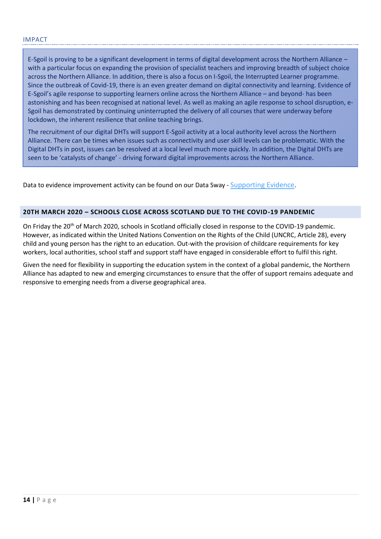E-Sgoil is proving to be a significant development in terms of digital development across the Northern Alliance – with a particular focus on expanding the provision of specialist teachers and improving breadth of subject choice across the Northern Alliance. In addition, there is also a focus on I-Sgoil, the Interrupted Learner programme. Since the outbreak of Covid-19, there is an even greater demand on digital connectivity and learning. Evidence of E-Sgoil's agile response to supporting learners online across the Northern Alliance – and beyond- has been astonishing and has been recognised at national level. As well as making an agile response to school disruption, e-Sgoil has demonstrated by continuing uninterrupted the delivery of all courses that were underway before lockdown, the inherent resilience that online teaching brings.

The recruitment of our digital DHTs will support E-Sgoil activity at a local authority level across the Northern Alliance. There can be times when issues such as connectivity and user skill levels can be problematic. With the Digital DHTs in post, issues can be resolved at a local level much more quickly. In addition, the Digital DHTs are seen to be 'catalysts of change' - driving forward digital improvements across the Northern Alliance.

Data to evidence improvement activity can be found on our Data Sway - [Supporting Evidence](https://sway.office.com/GRie6QTFCUTgwNCc?ref=Link).

# <span id="page-14-0"></span>**20TH MARCH 2020 – SCHOOLS CLOSE ACROSS SCOTLAND DUE TO THE COVID-19 PANDEMIC**

On Friday the 20<sup>th</sup> of March 2020, schools in Scotland officially closed in response to the COVID-19 pandemic. However, as indicated within the United Nations Convention on the Rights of the Child (UNCRC, Article 28), every child and young person has the right to an education. Out-with the provision of childcare requirements for key workers, local authorities, school staff and support staff have engaged in considerable effort to fulfil this right.

Given the need for flexibility in supporting the education system in the context of a global pandemic, the Northern Alliance has adapted to new and emerging circumstances to ensure that the offer of support remains adequate and responsive to emerging needs from a diverse geographical area.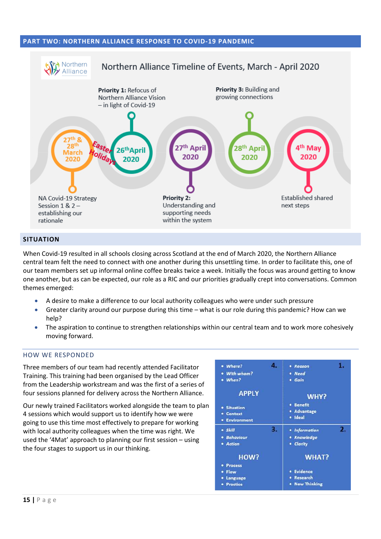#### <span id="page-15-0"></span>**PART TWO: NORTHERN ALLIANCE RESPONSE TO COVID-19 PANDEMIC**



#### <span id="page-15-1"></span>**SITUATION**

When Covid-19 resulted in all schools closing across Scotland at the end of March 2020, the Northern Alliance central team felt the need to connect with one another during this unsettling time. In order to facilitate this, one of our team members set up informal online coffee breaks twice a week. Initially the focus was around getting to know one another, but as can be expected, our role as a RIC and our priorities gradually crept into conversations. Common themes emerged:

- A desire to make a difference to our local authority colleagues who were under such pressure
- Greater clarity around our purpose during this time what is our role during this pandemic? How can we help?
- The aspiration to continue to strengthen relationships within our central team and to work more cohesively moving forward.

#### <span id="page-15-2"></span>HOW WE RESPONDED

Three members of our team had recently attended Facilitator Training. This training had been organised by the Lead Officer from the Leadership workstream and was the first of a series of four sessions planned for delivery across the Northern Alliance.

Our newly trained Facilitators worked alongside the team to plan 4 sessions which would support us to identify how we were going to use this time most effectively to prepare for working with local authority colleagues when the time was right. We used the '4Mat' approach to planning our first session – using the four stages to support us in our thinking.

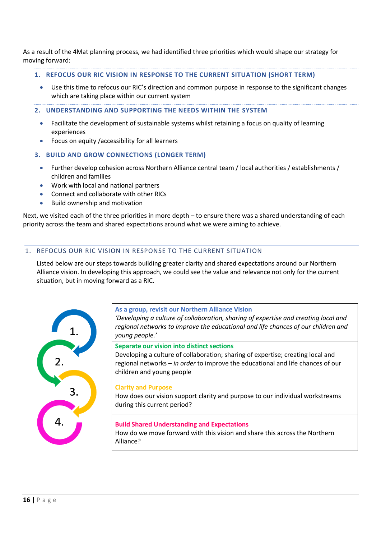As a result of the 4Mat planning process, we had identified three priorities which would shape our strategy for moving forward:

- **1. REFOCUS OUR RIC VISION IN RESPONSE TO THE CURRENT SITUATION (SHORT TERM)** 
	- Use this time to refocus our RIC's direction and common purpose in response to the significant changes which are taking place within our current system
- **2. UNDERSTANDING AND SUPPORTING THE NEEDS WITHIN THE SYSTEM** 
	- Facilitate the development of sustainable systems whilst retaining a focus on quality of learning experiences
	- Focus on equity /accessibility for all learners
- **3. BUILD AND GROW CONNECTIONS (LONGER TERM)** 
	- Further develop cohesion across Northern Alliance central team / local authorities / establishments / children and families
	- Work with local and national partners
	- Connect and collaborate with other RICs
	- Build ownership and motivation

Next, we visited each of the three priorities in more depth – to ensure there was a shared understanding of each priority across the team and shared expectations around what we were aiming to achieve.

# <span id="page-16-0"></span>1. REFOCUS OUR RIC VISION IN RESPONSE TO THE CURRENT SITUATION

Listed below are our steps towards building greater clarity and shared expectations around our Northern Alliance vision. In developing this approach, we could see the value and relevance not only for the current situation, but in moving forward as a RIC.



#### **As a group, revisit our Northern Alliance Vision**

*'Developing a culture of collaboration, sharing of expertise and creating local and regional networks to improve the educational and life chances of our children and young people.'*

**Separate our vision into distinct sections** 

Developing a culture of collaboration; sharing of expertise; creating local and regional networks – *in order* to improve the educational and life chances of our children and young people

#### **Clarity and Purpose**

How does our vision support clarity and purpose to our individual workstreams during this current period?

## **Build Shared Understanding and Expectations**

How do we move forward with this vision and share this across the Northern Alliance?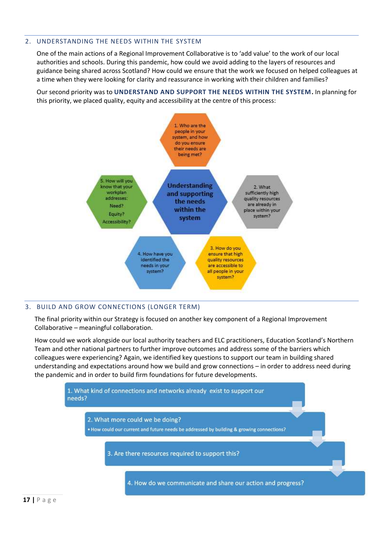# <span id="page-17-0"></span>2. UNDERSTANDING THE NEEDS WITHIN THE SYSTEM

One of the main actions of a Regional Improvement Collaborative is to 'add value' to the work of our local authorities and schools. During this pandemic, how could we avoid adding to the layers of resources and guidance being shared across Scotland? How could we ensure that the work we focused on helped colleagues at a time when they were looking for clarity and reassurance in working with their children and families?

Our second priority was to **UNDERSTAND AND SUPPORT THE NEEDS WITHIN THE SYSTEM.** In planning for this priority, we placed quality, equity and accessibility at the centre of this process:



# <span id="page-17-1"></span>3. BUILD AND GROW CONNECTIONS (LONGER TERM)

The final priority within our Strategy is focused on another key component of a Regional Improvement Collaborative – meaningful collaboration.

How could we work alongside our local authority teachers and ELC practitioners, Education Scotland's Northern Team and other national partners to further improve outcomes and address some of the barriers which colleagues were experiencing? Again, we identified key questions to support our team in building shared understanding and expectations around how we build and grow connections – in order to address need during the pandemic and in order to build firm foundations for future developments.

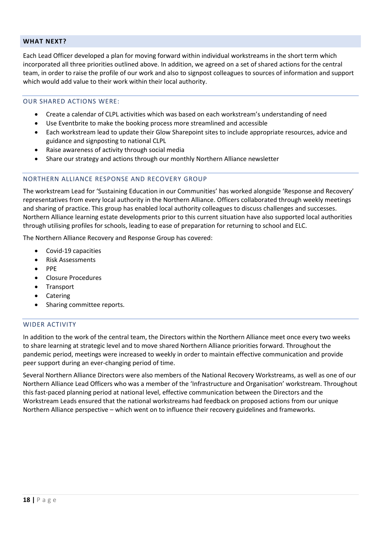#### <span id="page-18-0"></span>**WHAT NEXT?**

Each Lead Officer developed a plan for moving forward within individual workstreams in the short term which incorporated all three priorities outlined above. In addition, we agreed on a set of shared actions for the central team, in order to raise the profile of our work and also to signpost colleagues to sources of information and support which would add value to their work within their local authority.

# <span id="page-18-1"></span>OUR SHARED ACTIONS WERE:

- Create a calendar of CLPL activities which was based on each workstream's understanding of need
- Use Eventbrite to make the booking process more streamlined and accessible
- Each workstream lead to update their Glow Sharepoint sites to include appropriate resources, advice and guidance and signposting to national CLPL
- Raise awareness of activity through social media
- Share our strategy and actions through our monthly Northern Alliance newsletter

# <span id="page-18-2"></span>NORTHERN ALLIANCE RESPONSE AND RECOVERY GROUP

The workstream Lead for 'Sustaining Education in our Communities' has worked alongside 'Response and Recovery' representatives from every local authority in the Northern Alliance. Officers collaborated through weekly meetings and sharing of practice. This group has enabled local authority colleagues to discuss challenges and successes. Northern Alliance learning estate developments prior to this current situation have also supported local authorities through utilising profiles for schools, leading to ease of preparation for returning to school and ELC.

The Northern Alliance Recovery and Response Group has covered:

- Covid-19 capacities
- Risk Assessments
- PPE
- Closure Procedures
- Transport
- Catering
- Sharing committee reports.

# <span id="page-18-3"></span>WIDER ACTIVITY

In addition to the work of the central team, the Directors within the Northern Alliance meet once every two weeks to share learning at strategic level and to move shared Northern Alliance priorities forward. Throughout the pandemic period, meetings were increased to weekly in order to maintain effective communication and provide peer support during an ever-changing period of time.

Several Northern Alliance Directors were also members of the National Recovery Workstreams, as well as one of our Northern Alliance Lead Officers who was a member of the 'Infrastructure and Organisation' workstream. Throughout this fast-paced planning period at national level, effective communication between the Directors and the Workstream Leads ensured that the national workstreams had feedback on proposed actions from our unique Northern Alliance perspective – which went on to influence their recovery guidelines and frameworks.